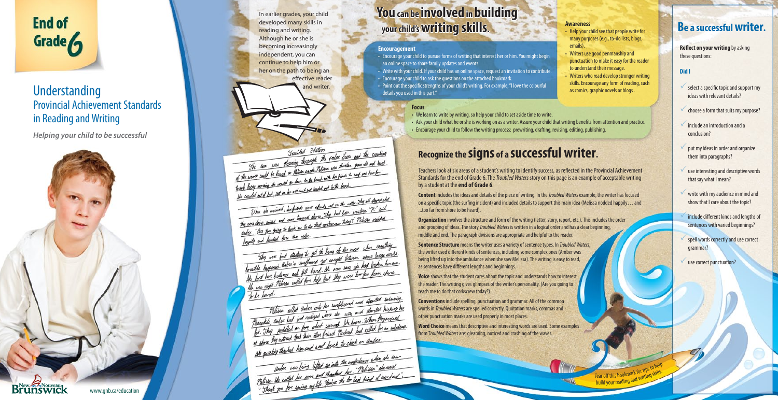*Helping your child to be successful*

# **You can be involved in building your child's writing skills.**

In earlier grades, your child developed many skills in reading and writing. Although he or she is becoming increasingly independent, you can continue to help him or her on the path to being an effective reader

Twelfed Idates fully fully and the constitute Trailful Idaters The same was gleaning through the palm culo we are been<br>of the work could be heard as Miliam anote. Thissen now thirten your dot and bord The words could be heard as Pelisan awards. Pelisan was thirten your our one and to not livery morning the world to down to the beach want to the beach...<br>He counciled and of look, put on her not must and headed out to the beach... anded and of lot, put on the little age abouts not on the nature. They all attack what When als arrived, he fished and abouty not on the natural manufacture. "He" said the acception and come toward shore. They had been waiting. ander the you people won a I and lunded for the first the hong of the more when sociething they are just starting to get the hang of the more when comes large rocks. they are just starting to get accept between some large doces.<br>Townthe hopened later's surflowed got cought between the hod froken her own. howill happened dates a turposer of the was save the hod from his one.<br>He lost her balance and fill hard. At was save too for from shore to be hard. wid.<br>Thisse willed ander onto her surfloand and started serioming. Thisse welled ander order to surfloand and started hicking her These where to make the way and work the moment Macachile, ander had not many to cannot the loans. When the parrial at shore they natived that their other friend Times now ander. ably then no living lifted up into the ambulance when she was ander was leing lifted up into the embalance when we and ander was learn with the her "Militar" etc.<br>Militar the called her over and thanked her "Militar of mer had".



# Understanding and writer. Provincial Achievement Standards in Reading and Writing

**Reflect on your writing** by asking these questions:

- $\checkmark$  select a specific topic and support my ideas with relevant details?
- choose a form that suits my purpose?
- include an introduction and a conclusion?
- put my ideas in order and organize them into paragraphs?
- use interesting and descriptive words that say what I mean?
- write with my audience in mind and show that I care about the topic?
- include different kinds and lengths of sentences with varied beginnings? **Be a successful writer.**<br> **Reflect on your writing** by asking<br>
these questions:<br> **Did I**<br>
Select a specific topic and support my<br>
ideas with relevant details?<br>
Select a specific topic and support my<br>
ideas in the suits my
	- spell words correctly and use correct grammar?

### **Did I**

Teachers look at six areas of a student's writing to identify success, as reflected in the Provincial Achievement Standards for the end of Grade 6. The *Troubled Waters* story on this page is an example of acceptable writing by a student at the **end of Grade 6** .

**Sentence Structure** means the writer uses a variety of sentence types. In *Troubled Waters*, the writer used different kinds of sentences, including some complex ones (Amber was being lifted up into the ambulance when she saw Melissa). The writing is easy to read, as sentences have different lengths and beginnings.

# **Recognize the signs of a successful writer.**

**Content** includes the ideas and details of the piece of writing. In the *Troubled Waters* example, the writer has focused on a specific topic (the surfing incident) and included details to support this main idea (Melissa nodded happily... and ...too far from shore to be heard).

**Organization** involves the structure and form of the writing (letter, story, report, etc.). This includes the order and grouping of ideas. The story *Troubled Waters* is written in a logical order and has a clear beginning, middle and end. The paragraph divisions are appropriate and helpful to the reader.

**Voice** shows that the student cares about the topic and understands how to interest the reader. The writing gives glimpses of the writer's personality. (Are you going to teach me to do that corkscrew today?)

**Conventions** include spelling, punctuation and grammar. All of the common words in *Troubled Waters* are spelled correctly. Quotation marks, commas and other punctuation marks are used properly in most places.

**Word Choice** means that descriptive and interesting words are used. Some examples from T*roubled Waters* are: gleaming, noticed and crashing of the waves.

### **Awareness**

- Help your child see that people write for many purposes (e.g., to-do lists, blogs, emails).
- Writers use good penmanship and punctuation to make it easy for the reader to understand their message.
- Writers who read develop stronger writing skills. Encourage any form of reading, such as comics, graphic novels or blogs .

Tear off this bookmark for tips to help build your reading ark for up<sub>2</sub> skills.<br>and writing skills.

### **Encouragement**

- Encourage your child to pursue forms of writing that interest her or him. You might begin an online space to share family updates and events.
- Write with your child. If your child has an online space, request an invitation to contribute.
- Encourage your child to ask the questions on the attached bookmark.
- Point out the specific strengths of your child's writing. For example, "I love the colourful details you used in this part."

### **Focus**

- We learn to write by writing, so help your child to set aside time to write.
- Ask your child what he or she is working on as a writer. Assure your child that writing benefits from attention and practice.
- Encourage your child to follow the writing process: prewriting, drafting, revising, editing, publishing.